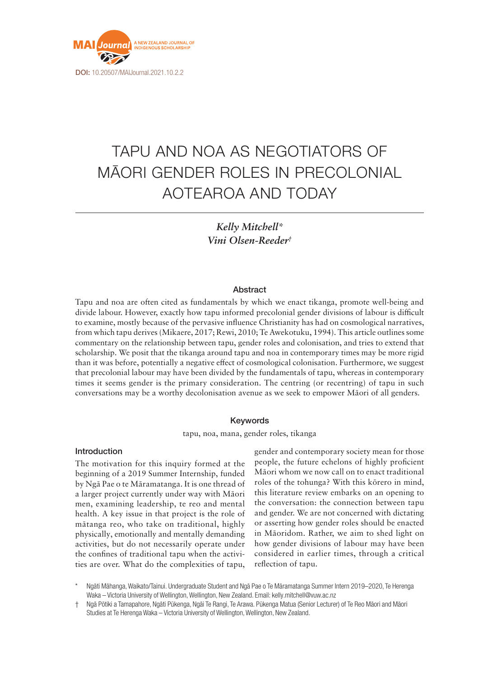

# TAPU AND NOA AS NEGOTIATORS OF MĀORI GENDER ROLES IN PRECOLONIAL AOTEAROA AND TODAY

*Kelly Mitchell\* Vini Olsen-Reeder†*

### Abstract

Tapu and noa are often cited as fundamentals by which we enact tikanga, promote well-being and divide labour. However, exactly how tapu informed precolonial gender divisions of labour is difficult to examine, mostly because of the pervasive influence Christianity has had on cosmological narratives, from which tapu derives (Mikaere, 2017; Rewi, 2010; Te Awekotuku, 1994). This article outlines some commentary on the relationship between tapu, gender roles and colonisation, and tries to extend that scholarship. We posit that the tikanga around tapu and noa in contemporary times may be more rigid than it was before, potentially a negative effect of cosmological colonisation. Furthermore, we suggest that precolonial labour may have been divided by the fundamentals of tapu, whereas in contemporary times it seems gender is the primary consideration. The centring (or recentring) of tapu in such conversations may be a worthy decolonisation avenue as we seek to empower Māori of all genders.

# Keywords

tapu, noa, mana, gender roles, tikanga

#### Introduction

The motivation for this inquiry formed at the beginning of a 2019 Summer Internship, funded by Ngā Pae o te Māramatanga. It is one thread of a larger project currently under way with Māori men, examining leadership, te reo and mental health. A key issue in that project is the role of mātanga reo, who take on traditional, highly physically, emotionally and mentally demanding activities, but do not necessarily operate under the confines of traditional tapu when the activities are over. What do the complexities of tapu, gender and contemporary society mean for those people, the future echelons of highly proficient Māori whom we now call on to enact traditional roles of the tohunga? With this kōrero in mind, this literature review embarks on an opening to the conversation: the connection between tapu and gender. We are not concerned with dictating or asserting how gender roles should be enacted in Māoridom. Rather, we aim to shed light on how gender divisions of labour may have been considered in earlier times, through a critical reflection of tapu.

Ngāti Māhanga, Waikato/Tainui. Undergraduate Student and Ngā Pae o Te Māramatanga Summer Intern 2019–2020, Te Herenga Waka – Victoria University of Wellington, Wellington, New Zealand. Email: [kelly.mitchell@vuw.ac.nz](mailto:kelly.mitchell@vuw.ac.nz)

† Ngā Pōtiki a Tamapahore, Ngāti Pūkenga, Ngāi Te Rangi, Te Arawa. Pūkenga Matua (Senior Lecturer) of Te Reo Māori and Māori Studies at Te Herenga Waka – Victoria University of Wellington, Wellington, New Zealand.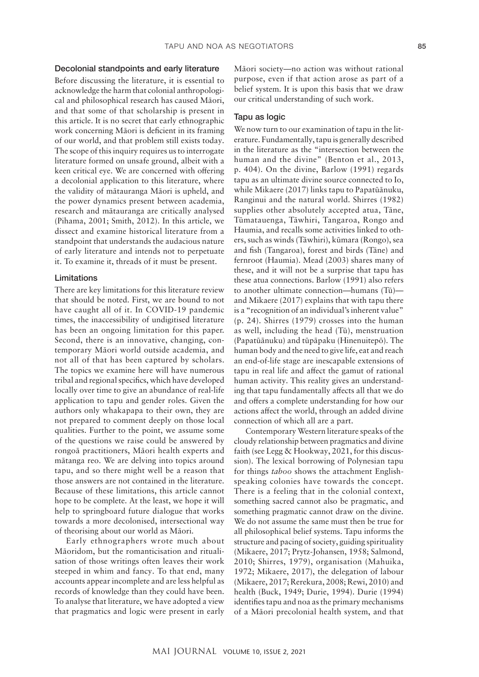## Decolonial standpoints and early literature

Before discussing the literature, it is essential to acknowledge the harm that colonial anthropological and philosophical research has caused Māori, and that some of that scholarship is present in this article. It is no secret that early ethnographic work concerning Māori is deficient in its framing of our world, and that problem still exists today. The scope of this inquiry requires us to interrogate literature formed on unsafe ground, albeit with a keen critical eye. We are concerned with offering a decolonial application to this literature, where the validity of mātauranga Māori is upheld, and the power dynamics present between academia, research and mātauranga are critically analysed (Pihama, 2001; Smith, 2012). In this article, we dissect and examine historical literature from a standpoint that understands the audacious nature of early literature and intends not to perpetuate it. To examine it, threads of it must be present.

## Limitations

There are key limitations for this literature review that should be noted. First, we are bound to not have caught all of it. In COVID-19 pandemic times, the inaccessibility of undigitised literature has been an ongoing limitation for this paper. Second, there is an innovative, changing, contemporary Māori world outside academia, and not all of that has been captured by scholars. The topics we examine here will have numerous tribal and regional specifics, which have developed locally over time to give an abundance of real-life application to tapu and gender roles. Given the authors only whakapapa to their own, they are not prepared to comment deeply on those local qualities. Further to the point, we assume some of the questions we raise could be answered by rongoā practitioners, Māori health experts and mātanga reo. We are delving into topics around tapu, and so there might well be a reason that those answers are not contained in the literature. Because of these limitations, this article cannot hope to be complete. At the least, we hope it will help to springboard future dialogue that works towards a more decolonised, intersectional way of theorising about our world as Māori.

Early ethnographers wrote much about Māoridom, but the romanticisation and ritualisation of those writings often leaves their work steeped in whim and fancy. To that end, many accounts appear incomplete and are less helpful as records of knowledge than they could have been. To analyse that literature, we have adopted a view that pragmatics and logic were present in early

Māori society—no action was without rational purpose, even if that action arose as part of a belief system. It is upon this basis that we draw our critical understanding of such work.

## Tapu as logic

We now turn to our examination of tapu in the literature. Fundamentally, tapu is generally described in the literature as the "intersection between the human and the divine" (Benton et al., 2013, p. 404). On the divine, Barlow (1991) regards tapu as an ultimate divine source connected to Io, while Mikaere (2017) links tapu to Papatūānuku, Ranginui and the natural world. Shirres (1982) supplies other absolutely accepted atua, Tāne, Tūmatauenga, Tāwhiri, Tangaroa, Rongo and Haumia, and recalls some activities linked to others, such as winds (Tāwhiri), kūmara (Rongo), sea and fish (Tangaroa), forest and birds (Tāne) and fernroot (Haumia). Mead (2003) shares many of these, and it will not be a surprise that tapu has these atua connections. Barlow (1991) also refers to another ultimate connection—humans (Tū) and Mikaere (2017) explains that with tapu there is a "recognition of an individual's inherent value" (p. 24). Shirres (1979) crosses into the human as well, including the head (Tū), menstruation (Papatūānuku) and tūpāpaku (Hinenuitepō). The human body and the need to give life, eat and reach an end-of-life stage are inescapable extensions of tapu in real life and affect the gamut of rational human activity. This reality gives an understanding that tapu fundamentally affects all that we do and offers a complete understanding for how our actions affect the world, through an added divine connection of which all are a part.

Contemporary Western literature speaks of the cloudy relationship between pragmatics and divine faith (see Legg & Hookway, 2021, for this discussion). The lexical borrowing of Polynesian tapu for things *taboo* shows the attachment Englishspeaking colonies have towards the concept. There is a feeling that in the colonial context, something sacred cannot also be pragmatic, and something pragmatic cannot draw on the divine. We do not assume the same must then be true for all philosophical belief systems. Tapu informs the structure and pacing of society, guiding spirituality (Mikaere, 2017; Prytz-Johansen, 1958; Salmond, 2010; Shirres, 1979), organisation (Mahuika, 1972; Mikaere, 2017), the delegation of labour (Mikaere, 2017; Rerekura, 2008; Rewi, 2010) and health (Buck, 1949; Durie, 1994). Durie (1994) identifies tapu and noa as the primary mechanisms of a Māori precolonial health system, and that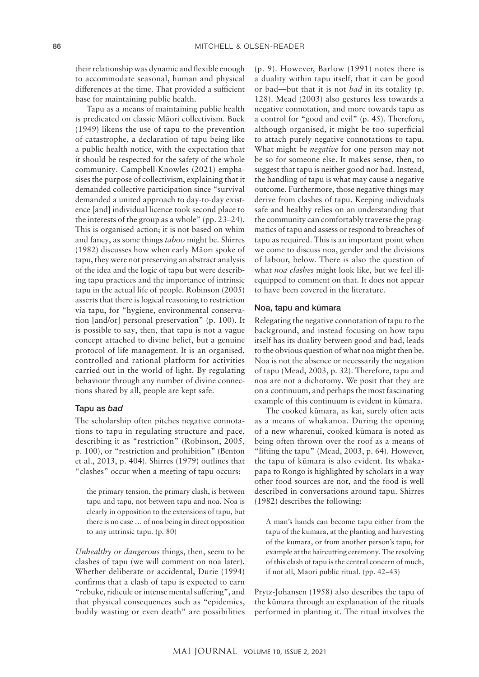their relationship was dynamic and flexible enough to accommodate seasonal, human and physical differences at the time. That provided a sufficient base for maintaining public health.

Tapu as a means of maintaining public health is predicated on classic Māori collectivism. Buck (1949) likens the use of tapu to the prevention of catastrophe, a declaration of tapu being like a public health notice, with the expectation that it should be respected for the safety of the whole community. Campbell-Knowles (2021) emphasises the purpose of collectivism, explaining that it demanded collective participation since "survival demanded a united approach to day-to-day existence [and] individual licence took second place to the interests of the group as a whole" (pp. 23–24). This is organised action; it is not based on whim and fancy, as some things *taboo* might be. Shirres (1982) discusses how when early Māori spoke of tapu, they were not preserving an abstract analysis of the idea and the logic of tapu but were describing tapu practices and the importance of intrinsic tapu in the actual life of people. Robinson (2005) asserts that there is logical reasoning to restriction via tapu, for "hygiene, environmental conservation [and/or] personal preservation" (p. 100). It is possible to say, then, that tapu is not a vague concept attached to divine belief, but a genuine protocol of life management. It is an organised, controlled and rational platform for activities carried out in the world of light. By regulating behaviour through any number of divine connections shared by all, people are kept safe.

## Tapu as *bad*

The scholarship often pitches negative connotations to tapu in regulating structure and pace, describing it as "restriction" (Robinson, 2005, p. 100), or "restriction and prohibition" (Benton et al., 2013, p. 404). Shirres (1979) outlines that "clashes" occur when a meeting of tapu occurs:

the primary tension, the primary clash, is between tapu and tapu, not between tapu and noa. Noa is clearly in opposition to the extensions of tapu, but there is no case … of noa being in direct opposition to any intrinsic tapu. (p. 80)

*Unhealthy or dangerous* things, then, seem to be clashes of tapu (we will comment on noa later). Whether deliberate or accidental, Durie (1994) confirms that a clash of tapu is expected to earn "rebuke, ridicule or intense mental suffering", and that physical consequences such as "epidemics, bodily wasting or even death" are possibilities (p. 9). However, Barlow (1991) notes there is a duality within tapu itself, that it can be good or bad—but that it is not *bad* in its totality (p. 128). Mead (2003) also gestures less towards a negative connotation, and more towards tapu as a control for "good and evil" (p. 45). Therefore, although organised, it might be too superficial to attach purely negative connotations to tapu. What might be *negative* for one person may not be so for someone else. It makes sense, then, to suggest that tapu is neither good nor bad. Instead, the handling of tapu is what may cause a negative outcome. Furthermore, those negative things may derive from clashes of tapu. Keeping individuals safe and healthy relies on an understanding that the community can comfortably traverse the pragmatics of tapu and assess or respond to breaches of tapu as required. This is an important point when we come to discuss noa, gender and the divisions of labour, below. There is also the question of what *noa clashes* might look like, but we feel illequipped to comment on that. It does not appear to have been covered in the literature.

#### Noa, tapu and kūmara

Relegating the negative connotation of tapu to the background, and instead focusing on how tapu itself has its duality between good and bad, leads to the obvious question of what noa might then be. Noa is not the absence or necessarily the negation of tapu (Mead, 2003, p. 32). Therefore, tapu and noa are not a dichotomy. We posit that they are on a continuum, and perhaps the most fascinating example of this continuum is evident in kūmara.

The cooked kūmara, as kai, surely often acts as a means of whakanoa. During the opening of a new wharenui, cooked kūmara is noted as being often thrown over the roof as a means of "lifting the tapu" (Mead, 2003, p. 64). However, the tapu of kūmara is also evident. Its whakapapa to Rongo is highlighted by scholars in a way other food sources are not, and the food is well described in conversations around tapu. Shirres (1982) describes the following:

A man's hands can become tapu either from the tapu of the kumara, at the planting and harvesting of the kumara, or from another person's tapu, for example at the haircutting ceremony. The resolving of this clash of tapu is the central concern of much, if not all, Maori public ritual. (pp. 42–43)

Prytz-Johansen (1958) also describes the tapu of the kūmara through an explanation of the rituals performed in planting it. The ritual involves the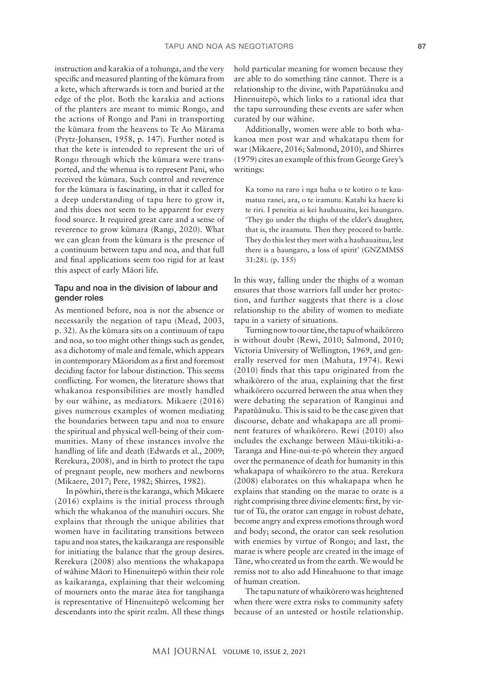instruction and karakia of a tohunga, and the very specific and measured planting of the kūmara from a kete, which afterwards is torn and buried at the edge of the plot. Both the karakia and actions of the planters are meant to mimic Rongo, and the actions of Rongo and Pani in transporting the kūmara from the heavens to Te Ao Mārama (Prytz-Johansen, 1958, p. 147). Further noted is that the kete is intended to represent the uri of Rongo through which the kūmara were transported, and the whenua is to represent Pani, who received the kūmara. Such control and reverence for the kūmara is fascinating, in that it called for a deep understanding of tapu here to grow it, and this does not seem to be apparent for every food source. It required great care and a sense of reverence to grow kūmara (Rangi, 2020). What we can glean from the kūmara is the presence of a continuum between tapu and noa, and that full and final applications seem too rigid for at least this aspect of early Māori life.

# Tapu and noa in the division of labour and gender roles

As mentioned before, noa is not the absence or necessarily the negation of tapu (Mead, 2003, p. 32). As the kūmara sits on a continuum of tapu and noa, so too might other things such as gender, as a dichotomy of male and female, which appears in contemporary Māoridom as a first and foremost deciding factor for labour distinction. This seems conflicting. For women, the literature shows that whakanoa responsibilities are mostly handled by our wāhine, as mediators. Mikaere (2016) gives numerous examples of women mediating the boundaries between tapu and noa to ensure the spiritual and physical well-being of their communities. Many of these instances involve the handling of life and death (Edwards et al., 2009; Rerekura, 2008), and in birth to protect the tapu of pregnant people, new mothers and newborns (Mikaere, 2017; Pere, 1982; Shirres, 1982).

In pōwhiri, there is the karanga, which Mikaere (2016) explains is the initial process through which the whakanoa of the manuhiri occurs. She explains that through the unique abilities that women have in facilitating transitions between tapu and noa states, the kaikaranga are responsible for initiating the balance that the group desires. Rerekura (2008) also mentions the whakapapa of wāhine Māori to Hinenuitepō within their role as kaikaranga, explaining that their welcoming of mourners onto the marae ātea for tangihanga is representative of Hinenuitepō welcoming her descendants into the spirit realm. All these things hold particular meaning for women because they are able to do something tāne cannot. There is a relationship to the divine, with Papatūānuku and Hinenuitepō, which links to a rational idea that the tapu surrounding these events are safer when curated by our wāhine.

Additionally, women were able to both whakanoa men post war and whakatapu them for war (Mikaere, 2016; Salmond, 2010), and Shirres (1979) cites an example of this from George Grey's writings:

Ka tomo na raro i nga huha o te kotiro o te kaumatua ranei, ara, o te iramutu. Katahi ka haere ki te riri. I peneitia ai kei hauhauaitu, kei haungaro. 'They go under the thighs of the elder's daughter, that is, the iraamutu. Then they proceed to battle. They do this lest they meet with a hauhauaituu, lest there is a haungaro, a loss of spirit' (GNZMMSS 31:28). (p. 155)

In this way, falling under the thighs of a woman ensures that those warriors fall under her protection, and further suggests that there is a close relationship to the ability of women to mediate tapu in a variety of situations.

Turning now to our tāne, the tapu of whaikōrero is without doubt (Rewi, 2010; Salmond, 2010; Victoria University of Wellington, 1969, and generally reserved for men (Mahuta, 1974). Rewi (2010) finds that this tapu originated from the whaikōrero of the atua, explaining that the first whaikōrero occurred between the atua when they were debating the separation of Ranginui and Papatūānuku. This is said to be the case given that discourse, debate and whakapapa are all prominent features of whaikōrero. Rewi (2010) also includes the exchange between Māui-tikitiki-a-Taranga and Hine-nui-te-pō wherein they argued over the permanence of death for humanity in this whakapapa of whaikōrero to the atua. Rerekura (2008) elaborates on this whakapapa when he explains that standing on the marae to orate is a right comprising three divine elements: first, by virtue of Tū, the orator can engage in robust debate, become angry and express emotions through word and body; second, the orator can seek resolution with enemies by virtue of Rongo; and last, the marae is where people are created in the image of Tāne, who created us from the earth. We would be remiss not to also add Hineahuone to that image of human creation.

The tapu nature of whaikōrero was heightened when there were extra risks to community safety because of an untested or hostile relationship.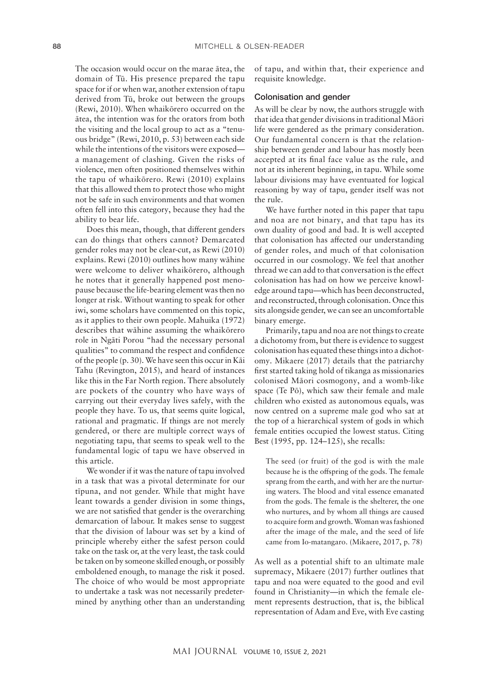The occasion would occur on the marae ātea, the domain of Tū. His presence prepared the tapu space for if or when war, another extension of tapu derived from Tū, broke out between the groups (Rewi, 2010). When whaikōrero occurred on the ātea, the intention was for the orators from both the visiting and the local group to act as a "tenuous bridge" (Rewi, 2010, p. 53) between each side while the intentions of the visitors were exposed a management of clashing. Given the risks of violence, men often positioned themselves within the tapu of whaikōrero. Rewi (2010) explains that this allowed them to protect those who might not be safe in such environments and that women often fell into this category, because they had the ability to bear life.

Does this mean, though, that different genders can do things that others cannot? Demarcated gender roles may not be clear-cut, as Rewi (2010) explains. Rewi (2010) outlines how many wāhine were welcome to deliver whaikōrero, although he notes that it generally happened post menopause because the life-bearing element was then no longer at risk. Without wanting to speak for other iwi, some scholars have commented on this topic, as it applies to their own people. Mahuika (1972) describes that wāhine assuming the whaikōrero role in Ngāti Porou "had the necessary personal qualities" to command the respect and confidence of the people (p. 30). We have seen this occur in Kāi Tahu (Revington, 2015), and heard of instances like this in the Far North region. There absolutely are pockets of the country who have ways of carrying out their everyday lives safely, with the people they have. To us, that seems quite logical, rational and pragmatic. If things are not merely gendered, or there are multiple correct ways of negotiating tapu, that seems to speak well to the fundamental logic of tapu we have observed in this article.

We wonder if it was the nature of tapu involved in a task that was a pivotal determinate for our tīpuna, and not gender. While that might have leant towards a gender division in some things, we are not satisfied that gender is the overarching demarcation of labour. It makes sense to suggest that the division of labour was set by a kind of principle whereby either the safest person could take on the task or, at the very least, the task could be taken on by someone skilled enough, or possibly emboldened enough, to manage the risk it posed. The choice of who would be most appropriate to undertake a task was not necessarily predetermined by anything other than an understanding of tapu, and within that, their experience and requisite knowledge.

#### Colonisation and gender

As will be clear by now, the authors struggle with that idea that gender divisions in traditional Māori life were gendered as the primary consideration. Our fundamental concern is that the relationship between gender and labour has mostly been accepted at its final face value as the rule, and not at its inherent beginning, in tapu. While some labour divisions may have eventuated for logical reasoning by way of tapu, gender itself was not the rule.

We have further noted in this paper that tapu and noa are not binary, and that tapu has its own duality of good and bad. It is well accepted that colonisation has affected our understanding of gender roles, and much of that colonisation occurred in our cosmology. We feel that another thread we can add to that conversation is the effect colonisation has had on how we perceive knowledge around tapu—which has been deconstructed, and reconstructed, through colonisation. Once this sits alongside gender, we can see an uncomfortable binary emerge.

Primarily, tapu and noa are not things to create a dichotomy from, but there is evidence to suggest colonisation has equated these things into a dichotomy. Mikaere (2017) details that the patriarchy first started taking hold of tikanga as missionaries colonised Māori cosmogony, and a womb-like space (Te Pō), which saw their female and male children who existed as autonomous equals, was now centred on a supreme male god who sat at the top of a hierarchical system of gods in which female entities occupied the lowest status. Citing Best (1995, pp. 124–125), she recalls:

The seed (or fruit) of the god is with the male because he is the offspring of the gods. The female sprang from the earth, and with her are the nurturing waters. The blood and vital essence emanated from the gods. The female is the shelterer, the one who nurtures, and by whom all things are caused to acquire form and growth. Woman was fashioned after the image of the male, and the seed of life came from Io-matangaro. (Mikaere, 2017, p. 78)

As well as a potential shift to an ultimate male supremacy, Mikaere (2017) further outlines that tapu and noa were equated to the good and evil found in Christianity—in which the female element represents destruction, that is, the biblical representation of Adam and Eve, with Eve casting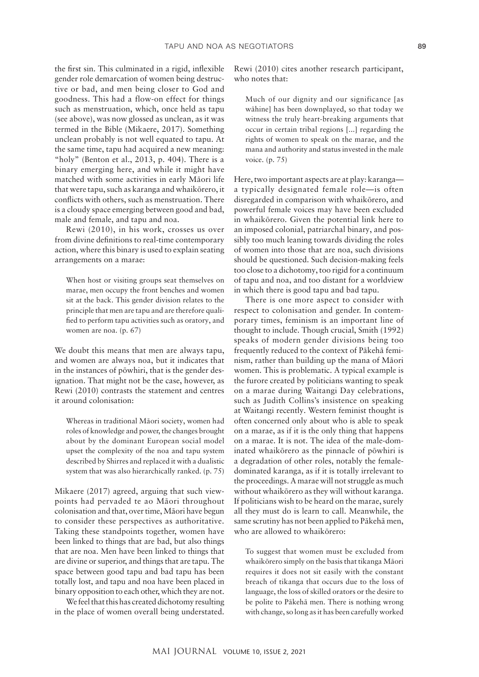the first sin. This culminated in a rigid, inflexible gender role demarcation of women being destructive or bad, and men being closer to God and goodness. This had a flow-on effect for things such as menstruation, which, once held as tapu (see above), was now glossed as unclean, as it was termed in the Bible (Mikaere, 2017). Something unclean probably is not well equated to tapu. At the same time, tapu had acquired a new meaning: "holy" (Benton et al., 2013, p. 404). There is a binary emerging here, and while it might have matched with some activities in early Māori life that were tapu, such as karanga and whaikōrero, it conflicts with others, such as menstruation. There is a cloudy space emerging between good and bad, male and female, and tapu and noa.

Rewi (2010), in his work, crosses us over from divine definitions to real-time contemporary action, where this binary is used to explain seating arrangements on a marae:

When host or visiting groups seat themselves on marae, men occupy the front benches and women sit at the back. This gender division relates to the principle that men are tapu and are therefore qualified to perform tapu activities such as oratory, and women are noa. (p. 67)

We doubt this means that men are always tapu, and women are always noa, but it indicates that in the instances of pōwhiri, that is the gender designation. That might not be the case, however, as Rewi (2010) contrasts the statement and centres it around colonisation:

Whereas in traditional Māori society, women had roles of knowledge and power, the changes brought about by the dominant European social model upset the complexity of the noa and tapu system described by Shirres and replaced it with a dualistic system that was also hierarchically ranked. (p. 75)

Mikaere (2017) agreed, arguing that such viewpoints had pervaded te ao Māori throughout colonisation and that, over time, Māori have begun to consider these perspectives as authoritative. Taking these standpoints together, women have been linked to things that are bad, but also things that are noa. Men have been linked to things that are divine or superior, and things that are tapu. The space between good tapu and bad tapu has been totally lost, and tapu and noa have been placed in binary opposition to each other, which they are not.

We feel that this has created dichotomy resulting in the place of women overall being understated. Rewi (2010) cites another research participant, who notes that:

Much of our dignity and our significance [as wāhine] has been downplayed, so that today we witness the truly heart-breaking arguments that occur in certain tribal regions [...] regarding the rights of women to speak on the marae, and the mana and authority and status invested in the male voice. (p. 75)

Here, two important aspects are at play: karanga a typically designated female role—is often disregarded in comparison with whaikōrero, and powerful female voices may have been excluded in whaikōrero. Given the potential link here to an imposed colonial, patriarchal binary, and possibly too much leaning towards dividing the roles of women into those that are noa, such divisions should be questioned. Such decision-making feels too close to a dichotomy, too rigid for a continuum of tapu and noa, and too distant for a worldview in which there is good tapu and bad tapu.

There is one more aspect to consider with respect to colonisation and gender. In contemporary times, feminism is an important line of thought to include. Though crucial, Smith (1992) speaks of modern gender divisions being too frequently reduced to the context of Pākehā feminism, rather than building up the mana of Māori women. This is problematic. A typical example is the furore created by politicians wanting to speak on a marae during Waitangi Day celebrations, such as Judith Collins's insistence on speaking at Waitangi recently. Western feminist thought is often concerned only about who is able to speak on a marae, as if it is the only thing that happens on a marae. It is not. The idea of the male-dominated whaikōrero as the pinnacle of pōwhiri is a degradation of other roles, notably the femaledominated karanga, as if it is totally irrelevant to the proceedings. A marae will not struggle as much without whaikōrero as they will without karanga. If politicians wish to be heard on the marae, surely all they must do is learn to call. Meanwhile, the same scrutiny has not been applied to Pākehā men, who are allowed to whaikōrero:

To suggest that women must be excluded from whaikōrero simply on the basis that tikanga Māori requires it does not sit easily with the constant breach of tikanga that occurs due to the loss of language, the loss of skilled orators or the desire to be polite to Pākehā men. There is nothing wrong with change, so long as it has been carefully worked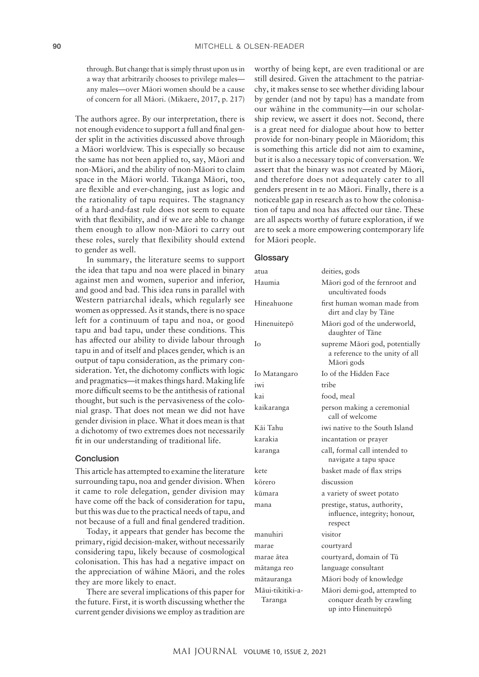through. But change that is simply thrust upon us in a way that arbitrarily chooses to privilege males any males—over Māori women should be a cause of concern for all Māori. (Mikaere, 2017, p. 217)

The authors agree. By our interpretation, there is not enough evidence to support a full and final gender split in the activities discussed above through a Māori worldview. This is especially so because the same has not been applied to, say, Māori and non-Māori, and the ability of non-Māori to claim space in the Māori world. Tikanga Māori, too, are flexible and ever-changing, just as logic and the rationality of tapu requires. The stagnancy of a hard-and-fast rule does not seem to equate with that flexibility, and if we are able to change them enough to allow non-Māori to carry out these roles, surely that flexibility should extend to gender as well.

In summary, the literature seems to support the idea that tapu and noa were placed in binary against men and women, superior and inferior, and good and bad. This idea runs in parallel with Western patriarchal ideals, which regularly see women as oppressed. As it stands, there is no space left for a continuum of tapu and noa, or good tapu and bad tapu, under these conditions. This has affected our ability to divide labour through tapu in and of itself and places gender, which is an output of tapu consideration, as the primary consideration. Yet, the dichotomy conflicts with logic and pragmatics—it makes things hard. Making life more difficult seems to be the antithesis of rational thought, but such is the pervasiveness of the colonial grasp. That does not mean we did not have gender division in place. What it does mean is that a dichotomy of two extremes does not necessarily fit in our understanding of traditional life.

# **Conclusion**

This article has attempted to examine the literature surrounding tapu, noa and gender division. When it came to role delegation, gender division may have come off the back of consideration for tapu, but this was due to the practical needs of tapu, and not because of a full and final gendered tradition.

Today, it appears that gender has become the primary, rigid decision-maker, without necessarily considering tapu, likely because of cosmological colonisation. This has had a negative impact on the appreciation of wāhine Māori, and the roles they are more likely to enact.

There are several implications of this paper for the future. First, it is worth discussing whether the current gender divisions we employ as tradition are

worthy of being kept, are even traditional or are still desired. Given the attachment to the patriarchy, it makes sense to see whether dividing labour by gender (and not by tapu) has a mandate from our wāhine in the community—in our scholarship review, we assert it does not. Second, there is a great need for dialogue about how to better provide for non-binary people in Māoridom; this is something this article did not aim to examine, but it is also a necessary topic of conversation. We assert that the binary was not created by Māori, and therefore does not adequately cater to all genders present in te ao Māori. Finally, there is a noticeable gap in research as to how the colonisation of tapu and noa has affected our tāne. These are all aspects worthy of future exploration, if we are to seek a more empowering contemporary life for Māori people.

#### **Glossary**

| atua                        | deities, gods                                                                    |
|-----------------------------|----------------------------------------------------------------------------------|
| Haumia                      | Māori god of the fernroot and<br>uncultivated foods                              |
| Hineahuone                  | first human woman made from<br>dirt and clay by Tāne                             |
| Hinenuitepō                 | Māori god of the underworld,<br>daughter of Tāne                                 |
| Io                          | supreme Māori god, potentially<br>a reference to the unity of all<br>Māori gods  |
| Io Matangaro                | Io of the Hidden Face                                                            |
| iwi                         | tribe                                                                            |
| kai                         | food, meal                                                                       |
| kaikaranga                  | person making a ceremonial<br>call of welcome                                    |
| Kāi Tahu                    | iwi native to the South Island                                                   |
| karakia                     | incantation or prayer                                                            |
| karanga                     | call, formal call intended to<br>navigate a tapu space                           |
| kete                        | basket made of flax strips                                                       |
| kōrero                      | discussion                                                                       |
| kūmara                      | a variety of sweet potato                                                        |
| mana                        | prestige, status, authority,<br>influence, integrity; honour,<br>respect         |
| manuhiri                    | visitor                                                                          |
| marae                       | courtyard                                                                        |
| marae ātea                  | courtyard, domain of Tū                                                          |
| mātanga reo                 | language consultant                                                              |
| mātauranga                  | Māori body of knowledge                                                          |
| Māui-tikitiki-a-<br>Taranga | Māori demi-god, attempted to<br>conquer death by crawling<br>up into Hinenuitepō |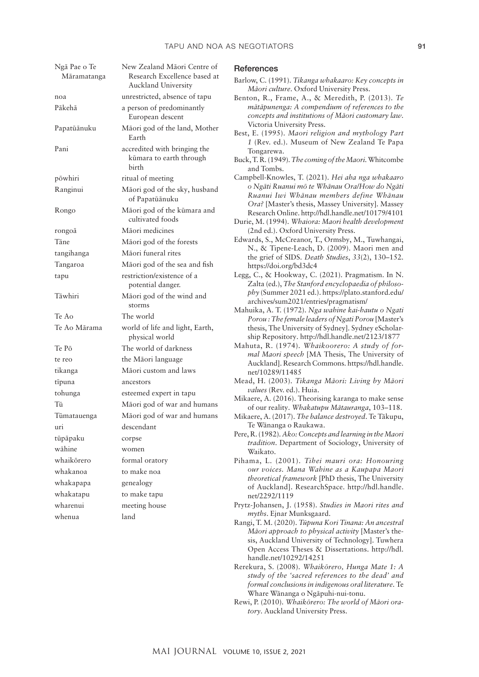| Ngā Pae o Te<br>Māramatanga | New Zealand Māori Centre of<br>Research Excellence based at      |
|-----------------------------|------------------------------------------------------------------|
|                             | Auckland University                                              |
| noa                         | unrestricted, absence of tapu                                    |
| Pākehā                      | a person of predominantly<br>European descent                    |
| Papatūānuku                 | Māori god of the land, Mother<br>Earth                           |
| Pani                        | accredited with bringing the<br>kūmara to earth through<br>birth |
| pōwhiri                     | ritual of meeting                                                |
| Ranginui                    | Māori god of the sky, husband<br>of Papatūānuku                  |
| Rongo                       | Māori god of the kūmara and<br>cultivated foods                  |
| rongoā                      | Māori medicines                                                  |
| Tāne                        | Māori god of the forests                                         |
| tangihanga                  | Māori funeral rites                                              |
| Tangaroa                    | Māori god of the sea and fish                                    |
| tapu                        | restriction/existence of a<br>potential danger.                  |
| Tāwhiri                     | Māori god of the wind and<br>storms                              |
| Te Ao                       | The world                                                        |
| Te Ao Mārama                | world of life and light, Earth,<br>physical world                |
| Te Pō                       | The world of darkness                                            |
| te reo                      | the Māori language                                               |
| tikanga                     | Māori custom and laws                                            |
| tīpuna                      | ancestors                                                        |
| tohunga                     | esteemed expert in tapu                                          |
| Tū                          | Māori god of war and humans                                      |
| Tūmatauenga                 | Māori god of war and humans                                      |
| uri                         | descendant                                                       |
| tūpāpaku                    | corpse                                                           |
| wāhine                      | women                                                            |
| whaikōrero                  | formal oratory                                                   |
| whakanoa                    | to make noa                                                      |
| whakapapa                   | genealogy                                                        |
| whakatapu                   | to make tapu                                                     |
| wharenui                    | meeting house                                                    |
| whenua                      | land                                                             |

#### **References**

- Barlow, C. (1991). *Tikanga whakaaro: Key concepts in Māori culture*. Oxford University Press.
- Benton, R., Frame, A., & Meredith, P. (2013). *Te mātāpunenga: A compendium of references to the concepts and institutions of Māori customary law*. Victoria University Press.
- Best, E. (1995). *Maori religion and mythology Part 1* (Rev. ed.). Museum of New Zealand Te Papa Tongarewa.
- Buck, T. R. (1949). *The coming of the Maori*. Whitcombe and Tombs.
- Campbell-Knowles, T. (2021). *Hei aha nga whakaaro o Ngāti Ruanui mō te Whānau Ora/How do Ngāti Ruanui Iwi Whānau members define Whānau Ora?* [Master's thesis, Massey University]. Massey Research Online.<http://hdl.handle.net/10179/4101>
- Durie, M. (1994). *Whaiora: Maori health development* (2nd ed.). Oxford University Press.
- Edwards, S., McCreanor, T., Ormsby, M., Tuwhangai, N., & Tipene-Leach, D. (2009). Maori men and the grief of SIDS. *Death Studies*, *33*(2), 130–152. <https://doi.org/bd3dc4>
- Legg, C., & Hookway, C. (2021). Pragmatism. In N. Zalta (ed.), *The Stanford encyclopaedia of philosophy* (Summer 2021 ed.). [https://plato.stanford.edu/](https://plato.stanford.edu/archives/sum2021/entries/pragmatism/) [archives/sum2021/entries/pragmatism/](https://plato.stanford.edu/archives/sum2021/entries/pragmatism/)
- Mahuika, A. T. (1972). *Nga wahine kai-hautu o Ngati Porou : The female leaders of Ngati Porou* [Master's thesis, The University of Sydney]. Sydney eScholarship Repository.<http://hdl.handle.net/2123/1877>
- Mahuta, R. (1974). *Whaikoorero: A study of formal Maori speech* [MA Thesis, The University of Auckland]. Research Commons. [https://hdl.handle.](https://hdl.handle.net/10289/11485) [net/10289/11485](https://hdl.handle.net/10289/11485)
- Mead, H. (2003). *Tikanga Māori: Living by Māori values* (Rev. ed.). Huia.
- Mikaere, A. (2016). Theorising karanga to make sense of our reality. *Whakatupu Mātauranga*, 103–118.
- Mikaere, A. (2017). *The balance destroyed*. Te Tākupu, Te Wānanga o Raukawa.
- Pere, R. (1982). *Ako: Concepts and learning in the Maori tradition*. Department of Sociology, University of Waikato.
- Pihama, L. (2001). *Tihei mauri ora: Honouring our voices. Mana Wahine as a Kaupapa Maori theoretical framework* [PhD thesis, The University of Auckland]. ResearchSpace. [http://hdl.handle.](http://hdl.handle.net/2292/1119) [net/2292/1119](http://hdl.handle.net/2292/1119)
- Prytz-Johansen, J. (1958). *Studies in Maori rites and myths*. Ejnar Munksgaard.
- Rangi, T. M. (2020). *Tūpuna Kori Tinana: An ancestral Māori approach to physical activity* [Master's thesis, Auckland University of Technology]. Tuwhera Open Access Theses & Dissertations. [http://hdl.](http://hdl.handle.net/10292/14251) [handle.net/10292/14251](http://hdl.handle.net/10292/14251)
- Rerekura, S. (2008). *Whaikōrero, Hunga Mate 1: A study of the 'sacred references to the dead' and formal conclusions in indigenous oral literature*. Te Whare Wānanga o Ngāpuhi-nui-tonu.
- Rewi, P. (2010). *Whaikōrero: The world of Māori oratory*. Auckland University Press.